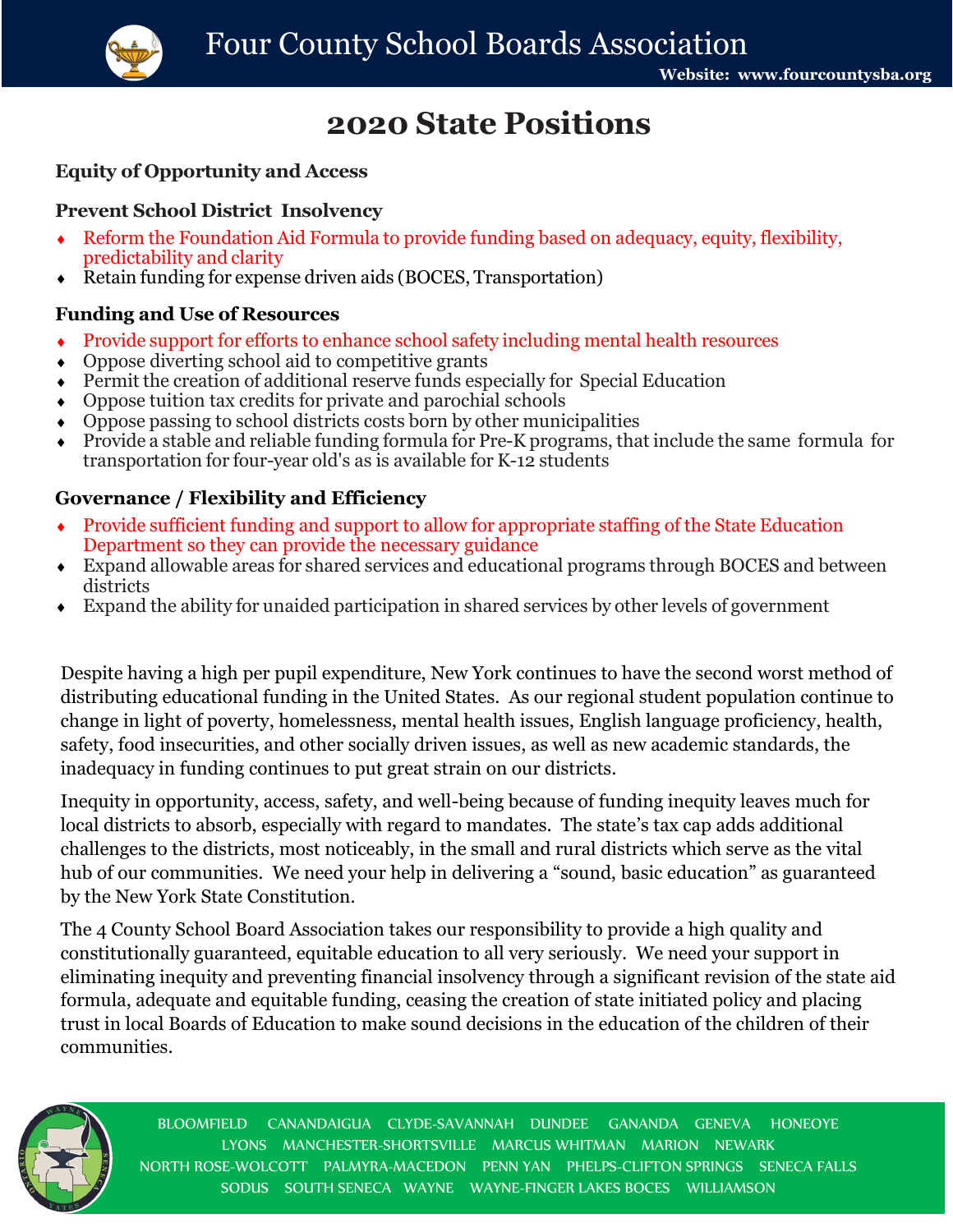

# **2020 State Positions**

#### **Equity of Opportunity and Access**

## **Prevent School District Insolvency**

- Reform the Foundation Aid Formula to provide funding based on adequacy, equity, flexibility, predictability and clarity
- Retain funding for expense driven aids (BOCES, Transportation)

#### **Funding and Use of Resources**

- Provide support for efforts to enhance school safety including mental health resources
- Oppose diverting school aid to competitive grants
- Permit the creation of additional reserve funds especially for Special Education
- Oppose tuition tax credits for private and parochial schools
- Oppose passing to school districts costs born by other municipalities
- Provide a stable and reliable funding formula for Pre-K programs, that include the same formula for transportation for four-year old's as is available for K-12 students

### **Governance / Flexibility and Efficiency**

- Provide sufficient funding and support to allow for appropriate staffing of the State Education Department so they can provide the necessary guidance
- Expand allowable areas for shared services and educational programs through BOCES and between districts
- Expand the ability for unaided participation in shared services by other levels of government

Despite having a high per pupil expenditure, New York continues to have the second worst method of distributing educational funding in the United States. As our regional student population continue to change in light of poverty, homelessness, mental health issues, English language proficiency, health, safety, food insecurities, and other socially driven issues, as well as new academic standards, the inadequacy in funding continues to put great strain on our districts.

Inequity in opportunity, access, safety, and well-being because of funding inequity leaves much for local districts to absorb, especially with regard to mandates. The state's tax cap adds additional challenges to the districts, most noticeably, in the small and rural districts which serve as the vital hub of our communities. We need your help in delivering a "sound, basic education" as guaranteed by the New York State Constitution.

The 4 County School Board Association takes our responsibility to provide a high quality and constitutionally guaranteed, equitable education to all very seriously. We need your support in eliminating inequity and preventing financial insolvency through a significant revision of the state aid formula, adequate and equitable funding, ceasing the creation of state initiated policy and placing trust in local Boards of Education to make sound decisions in the education of the children of their communities.



BLOOMFIELD CANANDAIGUA CLYDE-SAVANNAH DUNDEE GANANDA GENEVA HONEOYE LYONS MANCHESTER-SHORTSVILLE MARCUS WHITMAN MARION NEWARK NORTH ROSE-WOLCOTT PALMYRA-MACEDON PENN YAN PHELPS-CLIFTON SPRINGS SENECA FALLS SODUS SOUTH SENECA WAYNE WAYNE-FINGER LAKES BOCES WILLIAMSON